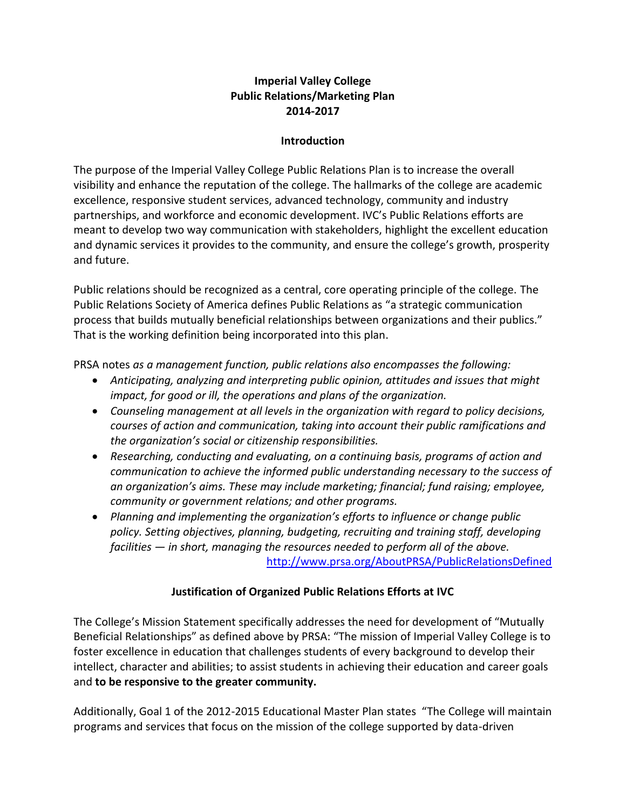# **Imperial Valley College Public Relations/Marketing Plan 2014-2017**

### **Introduction**

The purpose of the Imperial Valley College Public Relations Plan is to increase the overall visibility and enhance the reputation of the college. The hallmarks of the college are academic excellence, responsive student services, advanced technology, community and industry partnerships, and workforce and economic development. IVC's Public Relations efforts are meant to develop two way communication with stakeholders, highlight the excellent education and dynamic services it provides to the community, and ensure the college's growth, prosperity and future.

Public relations should be recognized as a central, core operating principle of the college. The Public Relations Society of America defines Public Relations as "a strategic communication process that builds mutually beneficial relationships between organizations and their publics." That is the working definition being incorporated into this plan.

PRSA notes *as a management function, public relations also encompasses the following:*

- *Anticipating, analyzing and interpreting public opinion, attitudes and issues that might impact, for good or ill, the operations and plans of the organization.*
- *Counseling management at all levels in the organization with regard to policy decisions, courses of action and communication, taking into account their public ramifications and the organization's social or citizenship responsibilities.*
- *Researching, conducting and evaluating, on a continuing basis, programs of action and communication to achieve the informed public understanding necessary to the success of an organization's aims. These may include marketing; financial; fund raising; employee, community or government relations; and other programs.*
- *Planning and implementing the organization's efforts to influence or change public policy. Setting objectives, planning, budgeting, recruiting and training staff, developing facilities — in short, managing the resources needed to perform all of the above.* <http://www.prsa.org/AboutPRSA/PublicRelationsDefined>

**Justification of Organized Public Relations Efforts at IVC**

The College's Mission Statement specifically addresses the need for development of "Mutually Beneficial Relationships" as defined above by PRSA: "The mission of Imperial Valley College is to foster excellence in education that challenges students of every background to develop their intellect, character and abilities; to assist students in achieving their education and career goals and **to be responsive to the greater community.**

Additionally, Goal 1 of the 2012-2015 Educational Master Plan states "The College will maintain programs and services that focus on the mission of the college supported by data-driven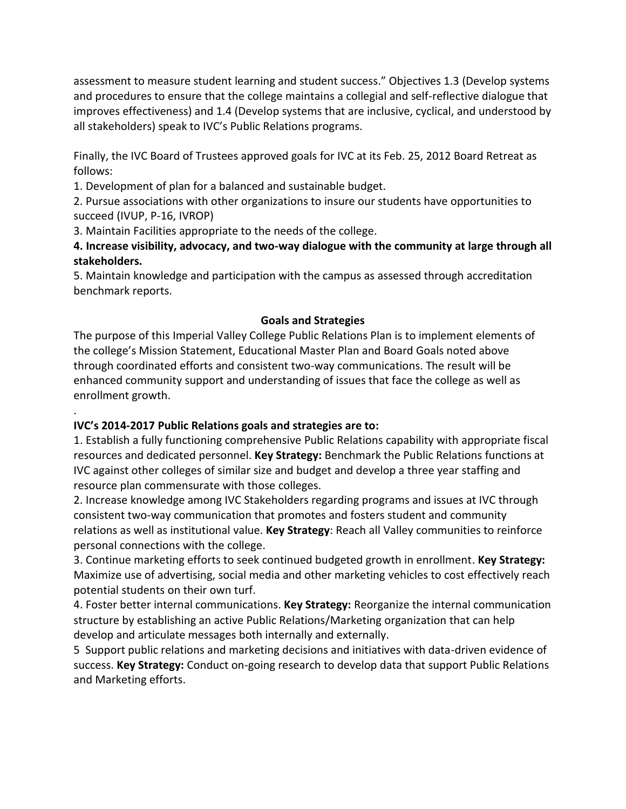assessment to measure student learning and student success." Objectives 1.3 (Develop systems and procedures to ensure that the college maintains a collegial and self-reflective dialogue that improves effectiveness) and 1.4 (Develop systems that are inclusive, cyclical, and understood by all stakeholders) speak to IVC's Public Relations programs.

Finally, the IVC Board of Trustees approved goals for IVC at its Feb. 25, 2012 Board Retreat as follows:

1. Development of plan for a balanced and sustainable budget.

2. Pursue associations with other organizations to insure our students have opportunities to succeed (IVUP, P-16, IVROP)

3. Maintain Facilities appropriate to the needs of the college.

**4. Increase visibility, advocacy, and two-way dialogue with the community at large through all stakeholders.**

5. Maintain knowledge and participation with the campus as assessed through accreditation benchmark reports.

## **Goals and Strategies**

The purpose of this Imperial Valley College Public Relations Plan is to implement elements of the college's Mission Statement, Educational Master Plan and Board Goals noted above through coordinated efforts and consistent two-way communications. The result will be enhanced community support and understanding of issues that face the college as well as enrollment growth.

#### . **IVC's 2014-2017 Public Relations goals and strategies are to:**

1. Establish a fully functioning comprehensive Public Relations capability with appropriate fiscal resources and dedicated personnel. **Key Strategy:** Benchmark the Public Relations functions at IVC against other colleges of similar size and budget and develop a three year staffing and resource plan commensurate with those colleges.

2. Increase knowledge among IVC Stakeholders regarding programs and issues at IVC through consistent two-way communication that promotes and fosters student and community relations as well as institutional value. **Key Strategy**: Reach all Valley communities to reinforce personal connections with the college.

3. Continue marketing efforts to seek continued budgeted growth in enrollment. **Key Strategy:**  Maximize use of advertising, social media and other marketing vehicles to cost effectively reach potential students on their own turf.

4. Foster better internal communications. **Key Strategy:** Reorganize the internal communication structure by establishing an active Public Relations/Marketing organization that can help develop and articulate messages both internally and externally.

5 Support public relations and marketing decisions and initiatives with data-driven evidence of success. **Key Strategy:** Conduct on-going research to develop data that support Public Relations and Marketing efforts.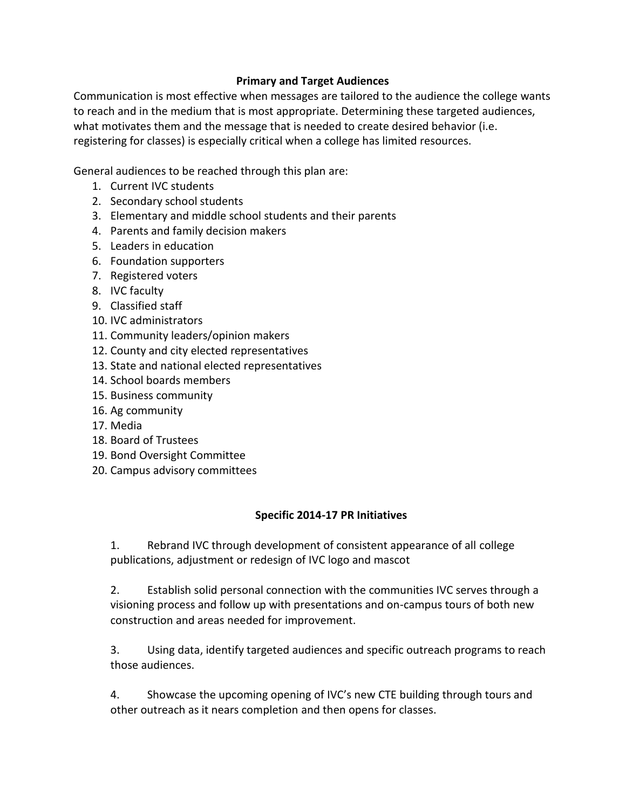### **Primary and Target Audiences**

Communication is most effective when messages are tailored to the audience the college wants to reach and in the medium that is most appropriate. Determining these targeted audiences, what motivates them and the message that is needed to create desired behavior (i.e. registering for classes) is especially critical when a college has limited resources.

General audiences to be reached through this plan are:

- 1. Current IVC students
- 2. Secondary school students
- 3. Elementary and middle school students and their parents
- 4. Parents and family decision makers
- 5. Leaders in education
- 6. Foundation supporters
- 7. Registered voters
- 8. IVC faculty
- 9. Classified staff
- 10. IVC administrators
- 11. Community leaders/opinion makers
- 12. County and city elected representatives
- 13. State and national elected representatives
- 14. School boards members
- 15. Business community
- 16. Ag community
- 17. Media
- 18. Board of Trustees
- 19. Bond Oversight Committee
- 20. Campus advisory committees

## **Specific 2014-17 PR Initiatives**

1. Rebrand IVC through development of consistent appearance of all college publications, adjustment or redesign of IVC logo and mascot

2. Establish solid personal connection with the communities IVC serves through a visioning process and follow up with presentations and on-campus tours of both new construction and areas needed for improvement.

3. Using data, identify targeted audiences and specific outreach programs to reach those audiences.

4. Showcase the upcoming opening of IVC's new CTE building through tours and other outreach as it nears completion and then opens for classes.